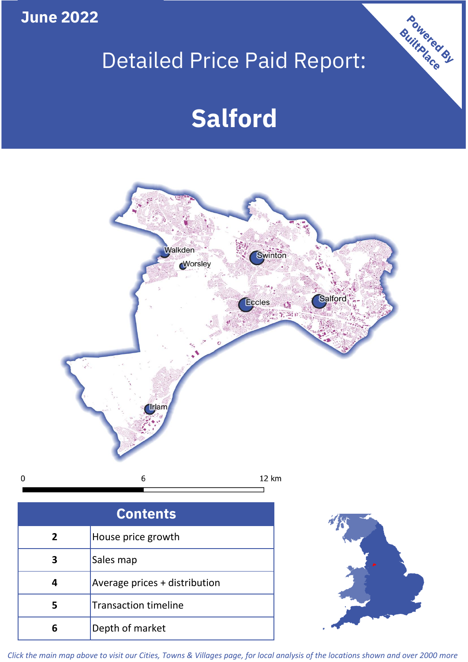**June 2022**

 $\mathbf 0$ 

# Detailed Price Paid Report:

# **Salford**



| <b>Contents</b> |                               |  |  |
|-----------------|-------------------------------|--|--|
| $\overline{2}$  | House price growth            |  |  |
| 3               | Sales map                     |  |  |
|                 | Average prices + distribution |  |  |
|                 | <b>Transaction timeline</b>   |  |  |
|                 | Depth of market               |  |  |



Powered By

*Click the main map above to visit our Cities, Towns & Villages page, for local analysis of the locations shown and over 2000 more*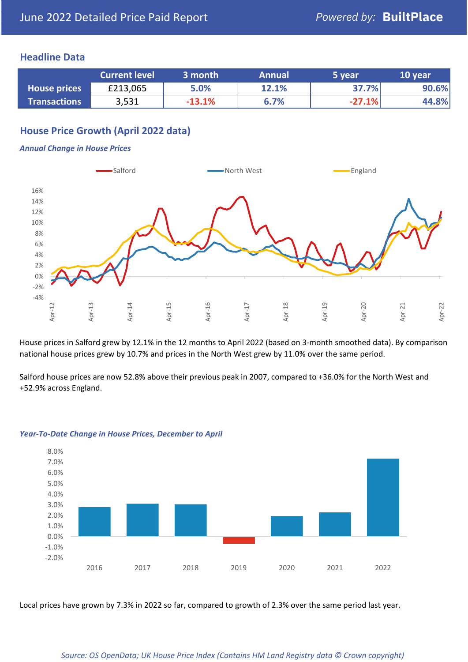### **Headline Data**

|                     | <b>Current level</b> | 3 month  | <b>Annual</b> | 5 year   | 10 year |
|---------------------|----------------------|----------|---------------|----------|---------|
| <b>House prices</b> | £213,065             | 5.0%     | 12.1%         | 37.7%    | 90.6%   |
| <b>Transactions</b> | 3,531                | $-13.1%$ | 6.7%          | $-27.1%$ | 44.8%   |

# **House Price Growth (April 2022 data)**

#### *Annual Change in House Prices*



House prices in Salford grew by 12.1% in the 12 months to April 2022 (based on 3-month smoothed data). By comparison national house prices grew by 10.7% and prices in the North West grew by 11.0% over the same period.

Salford house prices are now 52.8% above their previous peak in 2007, compared to +36.0% for the North West and +52.9% across England.



#### *Year-To-Date Change in House Prices, December to April*

Local prices have grown by 7.3% in 2022 so far, compared to growth of 2.3% over the same period last year.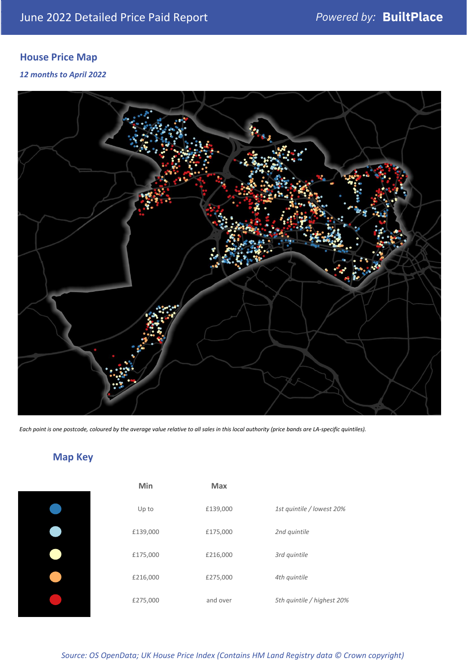# **House Price Map**

### *12 months to April 2022*



*Each point is one postcode, coloured by the average value relative to all sales in this local authority (price bands are LA-specific quintiles).*

# **Map Key**

| Min      | <b>Max</b> |                            |
|----------|------------|----------------------------|
| Up to    | £139,000   | 1st quintile / lowest 20%  |
| £139,000 | £175,000   | 2nd quintile               |
| £175,000 | £216,000   | 3rd quintile               |
| £216,000 | £275,000   | 4th quintile               |
| £275,000 | and over   | 5th quintile / highest 20% |

# *Source: OS OpenData; UK House Price Index (Contains HM Land Registry data © Crown copyright)*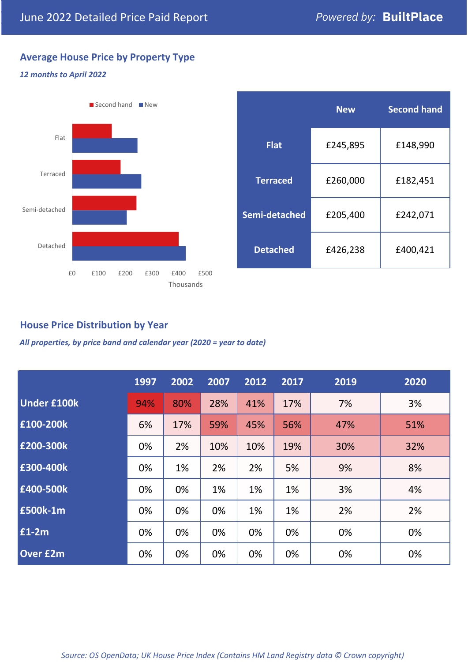# **Average House Price by Property Type**

#### *12 months to April 2022*



|                 | <b>New</b> | <b>Second hand</b> |  |  |
|-----------------|------------|--------------------|--|--|
| <b>Flat</b>     | £245,895   | £148,990           |  |  |
| <b>Terraced</b> | £260,000   | £182,451           |  |  |
| Semi-detached   | £205,400   | £242,071           |  |  |
| <b>Detached</b> | £426,238   | £400,421           |  |  |

# **House Price Distribution by Year**

*All properties, by price band and calendar year (2020 = year to date)*

|                    | 1997 | 2002 | 2007 | 2012 | 2017 | 2019 | 2020 |
|--------------------|------|------|------|------|------|------|------|
| <b>Under £100k</b> | 94%  | 80%  | 28%  | 41%  | 17%  | 7%   | 3%   |
| £100-200k          | 6%   | 17%  | 59%  | 45%  | 56%  | 47%  | 51%  |
| E200-300k          | 0%   | 2%   | 10%  | 10%  | 19%  | 30%  | 32%  |
| E300-400k          | 0%   | 1%   | 2%   | 2%   | 5%   | 9%   | 8%   |
| £400-500k          | 0%   | 0%   | 1%   | 1%   | 1%   | 3%   | 4%   |
| <b>E500k-1m</b>    | 0%   | 0%   | 0%   | 1%   | 1%   | 2%   | 2%   |
| £1-2m              | 0%   | 0%   | 0%   | 0%   | 0%   | 0%   | 0%   |
| <b>Over £2m</b>    | 0%   | 0%   | 0%   | 0%   | 0%   | 0%   | 0%   |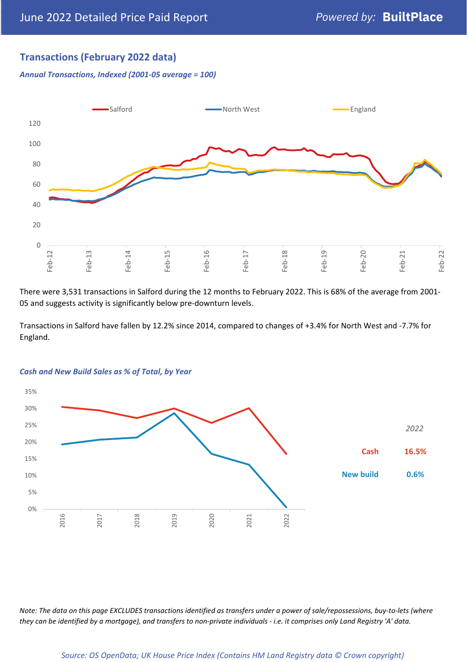# **Transactions (February 2022 data)**

*Annual Transactions, Indexed (2001-05 average = 100)*



There were 3,531 transactions in Salford during the 12 months to February 2022. This is 68% of the average from 2001- 05 and suggests activity is significantly below pre-downturn levels.

Transactions in Salford have fallen by 12.2% since 2014, compared to changes of +3.4% for North West and -7.7% for England.



#### *Cash and New Build Sales as % of Total, by Year*

*Note: The data on this page EXCLUDES transactions identified as transfers under a power of sale/repossessions, buy-to-lets (where they can be identified by a mortgage), and transfers to non-private individuals - i.e. it comprises only Land Registry 'A' data.*